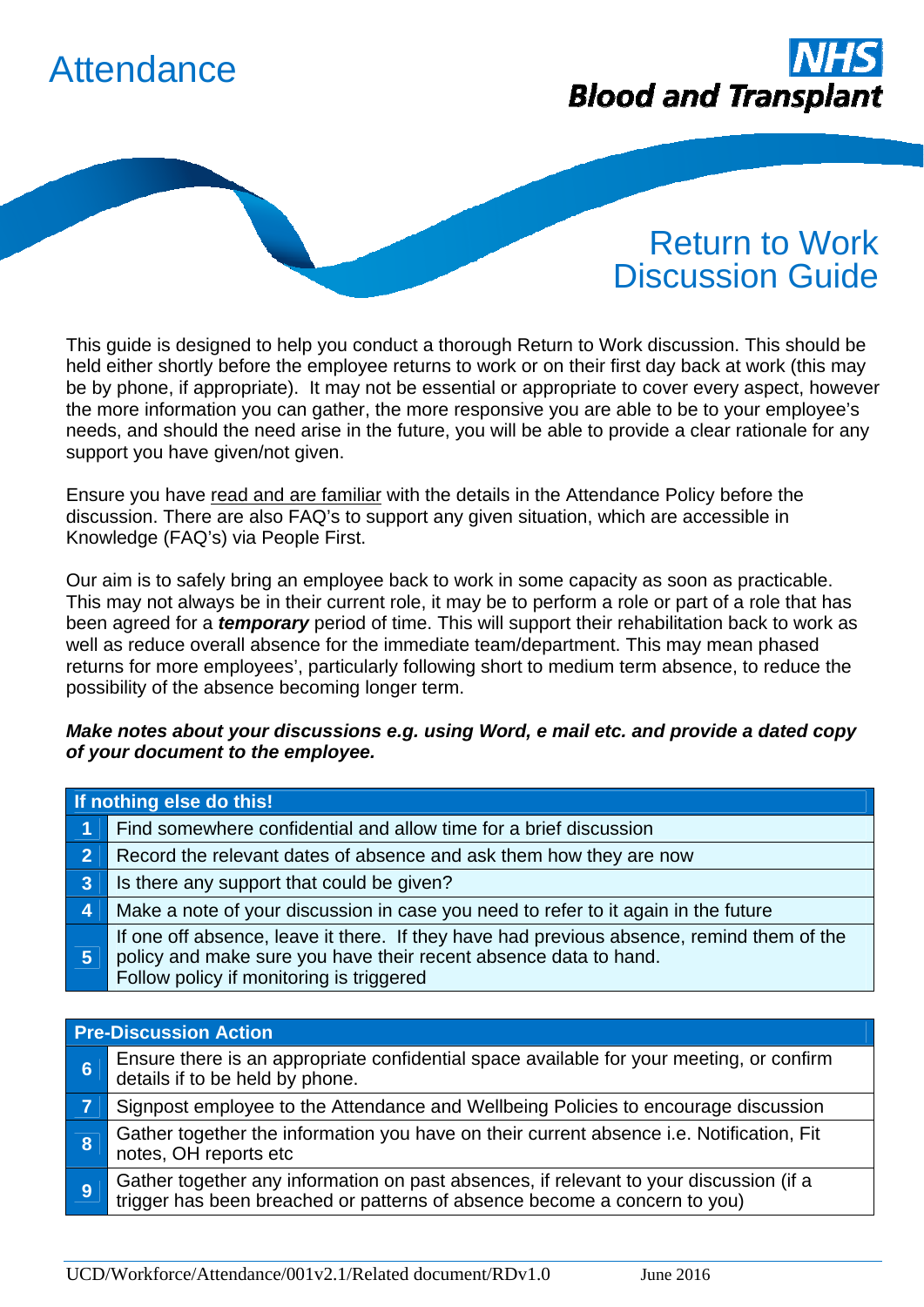



## Return to Work Discussion Guide

This guide is designed to help you conduct a thorough Return to Work discussion. This should be held either shortly before the employee returns to work or on their first day back at work (this may be by phone, if appropriate). It may not be essential or appropriate to cover every aspect, however the more information you can gather, the more responsive you are able to be to your employee's needs, and should the need arise in the future, you will be able to provide a clear rationale for any support you have given/not given.

Ensure you have read and are familiar with the details in the Attendance Policy before the discussion. There are also FAQ's to support any given situation, which are accessible in Knowledge (FAQ's) via People First.

Our aim is to safely bring an employee back to work in some capacity as soon as practicable. This may not always be in their current role, it may be to perform a role or part of a role that has been agreed for a *temporary* period of time. This will support their rehabilitation back to work as well as reduce overall absence for the immediate team/department. This may mean phased returns for more employees', particularly following short to medium term absence, to reduce the possibility of the absence becoming longer term.

## *Make notes about your discussions e.g. using Word, e mail etc. and provide a dated copy of your document to the employee.*

| If nothing else do this! |                                                                                                                                                                                                           |  |
|--------------------------|-----------------------------------------------------------------------------------------------------------------------------------------------------------------------------------------------------------|--|
| 1                        | Find somewhere confidential and allow time for a brief discussion                                                                                                                                         |  |
|                          | Record the relevant dates of absence and ask them how they are now                                                                                                                                        |  |
| 3 <sup>2</sup>           | Is there any support that could be given?                                                                                                                                                                 |  |
| $\overline{4}$           | Make a note of your discussion in case you need to refer to it again in the future                                                                                                                        |  |
| 5                        | If one off absence, leave it there. If they have had previous absence, remind them of the<br>policy and make sure you have their recent absence data to hand.<br>Follow policy if monitoring is triggered |  |
|                          |                                                                                                                                                                                                           |  |

| <b>Pre-Discussion Action</b> |                                                                                                                                                                  |  |
|------------------------------|------------------------------------------------------------------------------------------------------------------------------------------------------------------|--|
| 6                            | Ensure there is an appropriate confidential space available for your meeting, or confirm<br>details if to be held by phone.                                      |  |
|                              | Signpost employee to the Attendance and Wellbeing Policies to encourage discussion                                                                               |  |
| 8                            | Gather together the information you have on their current absence i.e. Notification, Fit<br>notes, OH reports etc                                                |  |
| <b>9</b>                     | Gather together any information on past absences, if relevant to your discussion (if a trigger has been breached or patterns of absence become a concern to you) |  |